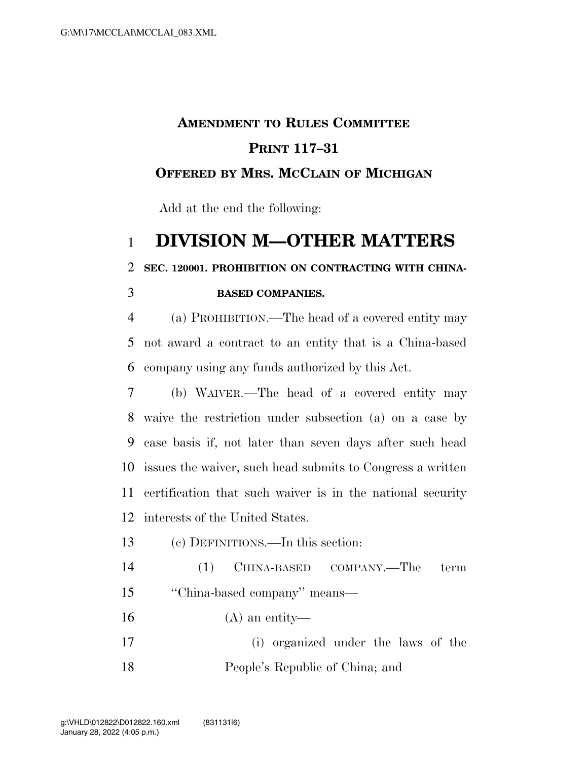## **AMENDMENT TO RULES COMMITTEE PRINT 117–31 OFFERED BY MRS. MCCLAIN OF MICHIGAN**

Add at the end the following:

## **DIVISION M—OTHER MATTERS**

**SEC. 120001. PROHIBITION ON CONTRACTING WITH CHINA-**

## **BASED COMPANIES.**

 (a) PROHIBITION.—The head of a covered entity may not award a contract to an entity that is a China-based company using any funds authorized by this Act.

 (b) WAIVER.—The head of a covered entity may waive the restriction under subsection (a) on a case by case basis if, not later than seven days after such head issues the waiver, such head submits to Congress a written certification that such waiver is in the national security interests of the United States.

(c) DEFINITIONS.—In this section:

 (1) CHINA-BASED COMPANY.—The term ''China-based company'' means—

(A) an entity—

 (i) organized under the laws of the People's Republic of China; and